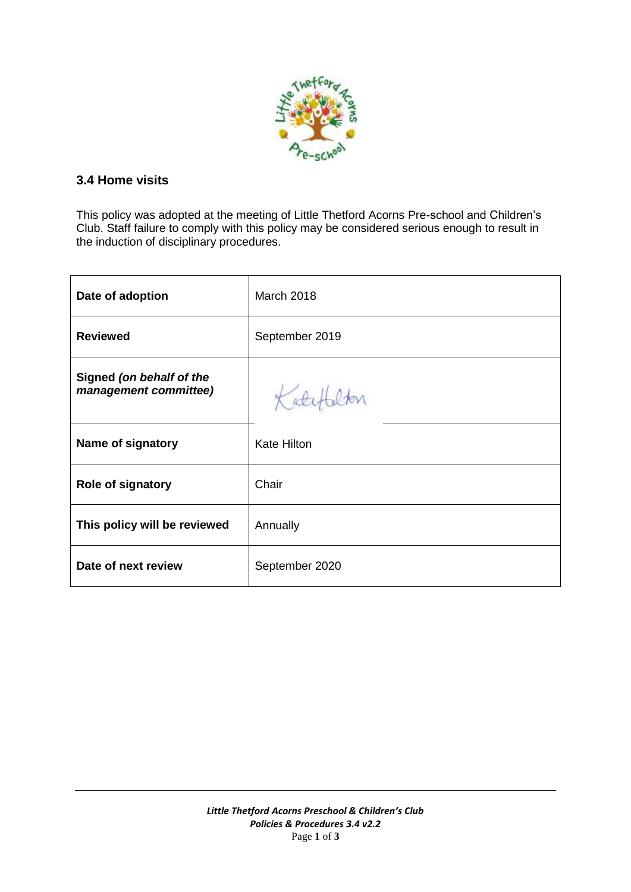

## **3.4 Home visits**

This policy was adopted at the meeting of Little Thetford Acorns Pre-school and Children's Club. Staff failure to comply with this policy may be considered serious enough to result in the induction of disciplinary procedures.

| Date of adoption                                  | <b>March 2018</b>  |
|---------------------------------------------------|--------------------|
| <b>Reviewed</b>                                   | September 2019     |
| Signed (on behalf of the<br>management committee) | Katch              |
| Name of signatory                                 | <b>Kate Hilton</b> |
| <b>Role of signatory</b>                          | Chair              |
| This policy will be reviewed                      | Annually           |
| Date of next review                               | September 2020     |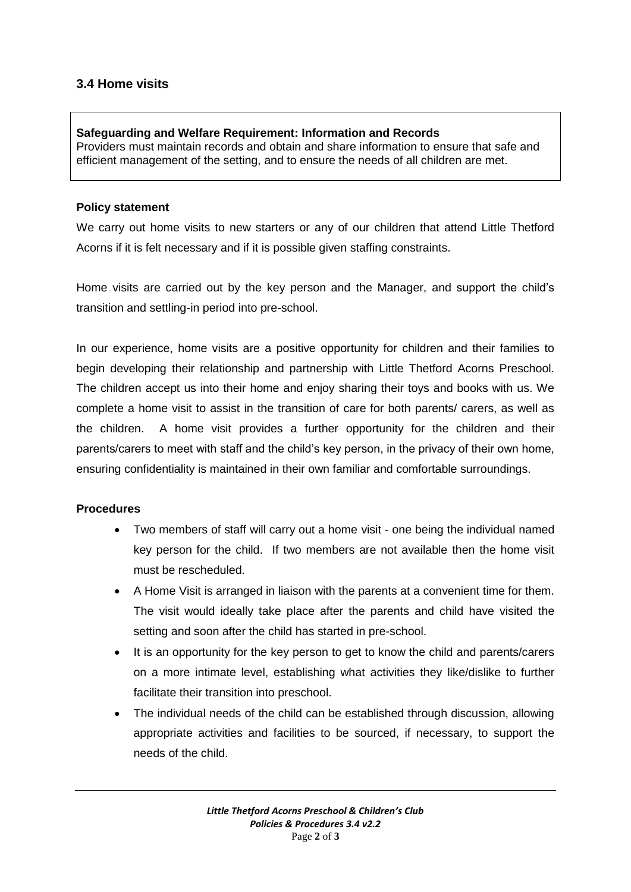# **3.4 Home visits**

### **Safeguarding and Welfare Requirement: Information and Records**

Providers must maintain records and obtain and share information to ensure that safe and efficient management of the setting, and to ensure the needs of all children are met.

#### **Policy statement**

We carry out home visits to new starters or any of our children that attend Little Thetford Acorns if it is felt necessary and if it is possible given staffing constraints.

Home visits are carried out by the key person and the Manager, and support the child's transition and settling-in period into pre-school.

In our experience, home visits are a positive opportunity for children and their families to begin developing their relationship and partnership with Little Thetford Acorns Preschool. The children accept us into their home and enjoy sharing their toys and books with us. We complete a home visit to assist in the transition of care for both parents/ carers, as well as the children. A home visit provides a further opportunity for the children and their parents/carers to meet with staff and the child's key person, in the privacy of their own home, ensuring confidentiality is maintained in their own familiar and comfortable surroundings.

### **Procedures**

- Two members of staff will carry out a home visit one being the individual named key person for the child. If two members are not available then the home visit must be rescheduled.
- A Home Visit is arranged in liaison with the parents at a convenient time for them. The visit would ideally take place after the parents and child have visited the setting and soon after the child has started in pre-school.
- It is an opportunity for the key person to get to know the child and parents/carers on a more intimate level, establishing what activities they like/dislike to further facilitate their transition into preschool.
- The individual needs of the child can be established through discussion, allowing appropriate activities and facilities to be sourced, if necessary, to support the needs of the child.